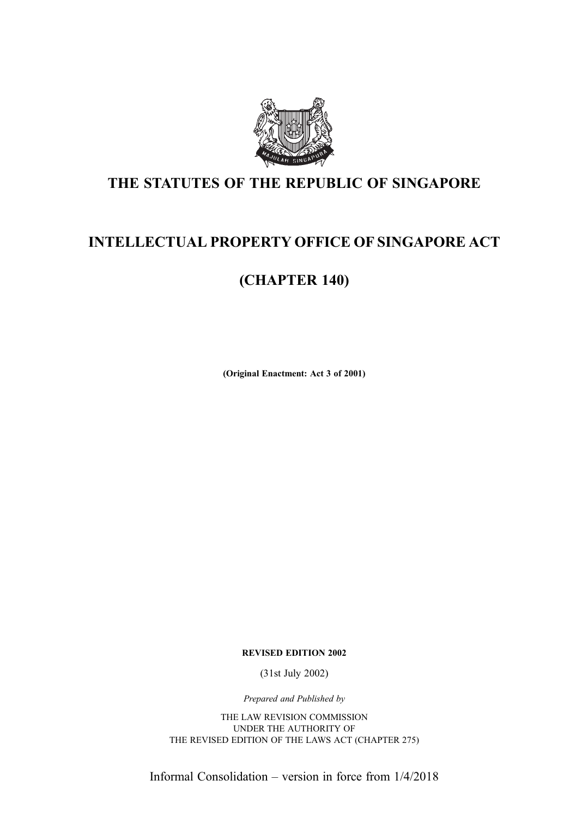

## THE STATUTES OF THE REPUBLIC OF SINGAPORE

## INTELLECTUAL PROPERTY OFFICE OF SINGAPORE ACT

## (CHAPTER 140)

(Original Enactment: Act 3 of 2001)

REVISED EDITION 2002

(31st July 2002)

Prepared and Published by

THE LAW REVISION COMMISSION UNDER THE AUTHORITY OF THE REVISED EDITION OF THE LAWS ACT (CHAPTER 275)

Informal Consolidation – version in force from 1/4/2018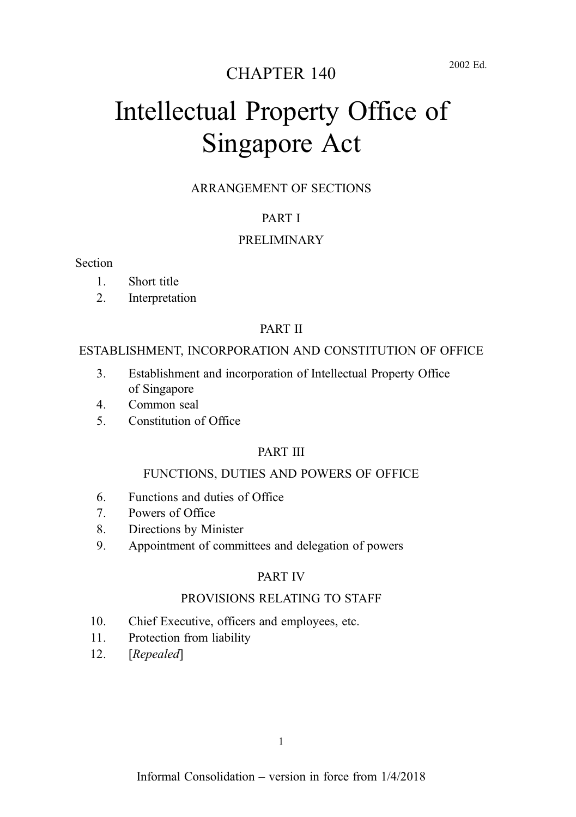## CHAPTER 140

# Intellectual Property Office of Singapore Act

#### ARRANGEMENT OF SECTIONS

#### PART I

#### PRELIMINARY

#### Section

- 1. Short title
- 2. Interpretation

#### PART II

#### ESTABLISHMENT, INCORPORATION AND CONSTITUTION OF OFFICE

- 3. Establishment and incorporation of Intellectual Property Office of Singapore
- 4. Common seal
- 5. Constitution of Office

#### PART III

#### FUNCTIONS, DUTIES AND POWERS OF OFFICE

- 6. Functions and duties of Office
- 7. Powers of Office
- 8. Directions by Minister
- 9. Appointment of committees and delegation of powers

#### PART IV

#### PROVISIONS RELATING TO STAFF

- 10. Chief Executive, officers and employees, etc.
- 11. Protection from liability
- 12. [Repealed]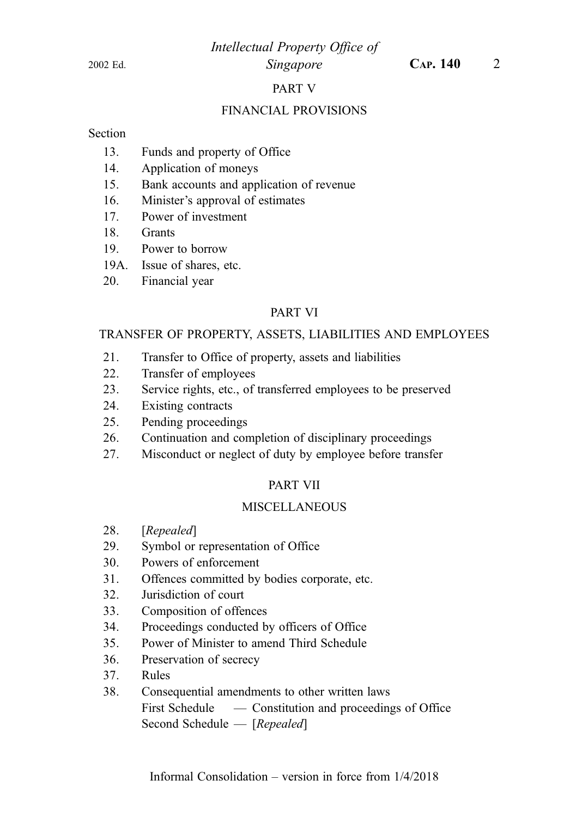#### Intellectual Property Office of 2002 Ed. Singapore CAP. 140 2

#### PART V

#### FINANCIAL PROVISIONS

#### **Section**

- 13. Funds and property of Office
- 14. Application of moneys
- 15. Bank accounts and application of revenue
- 16. Minister's approval of estimates
- 17. Power of investment
- 18. Grants
- 19. Power to borrow
- 19A. Issue of shares, etc.
- 20. Financial year

#### PART VI

#### TRANSFER OF PROPERTY, ASSETS, LIABILITIES AND EMPLOYEES

- 21. Transfer to Office of property, assets and liabilities
- 22. Transfer of employees
- 23. Service rights, etc., of transferred employees to be preserved
- 24. Existing contracts
- 25. Pending proceedings
- 26. Continuation and completion of disciplinary proceedings
- 27. Misconduct or neglect of duty by employee before transfer

#### PART VII

#### **MISCELLANEOUS**

- 28. [Repealed]
- 29. Symbol or representation of Office
- 30. Powers of enforcement
- 31. Offences committed by bodies corporate, etc.
- 32. Jurisdiction of court
- 33. Composition of offences
- 34. Proceedings conducted by officers of Office
- 35. Power of Minister to amend Third Schedule
- 36. Preservation of secrecy
- 37. Rules
- 38. Consequential amendments to other written laws First Schedule — Constitution and proceedings of Office Second Schedule — [Repealed]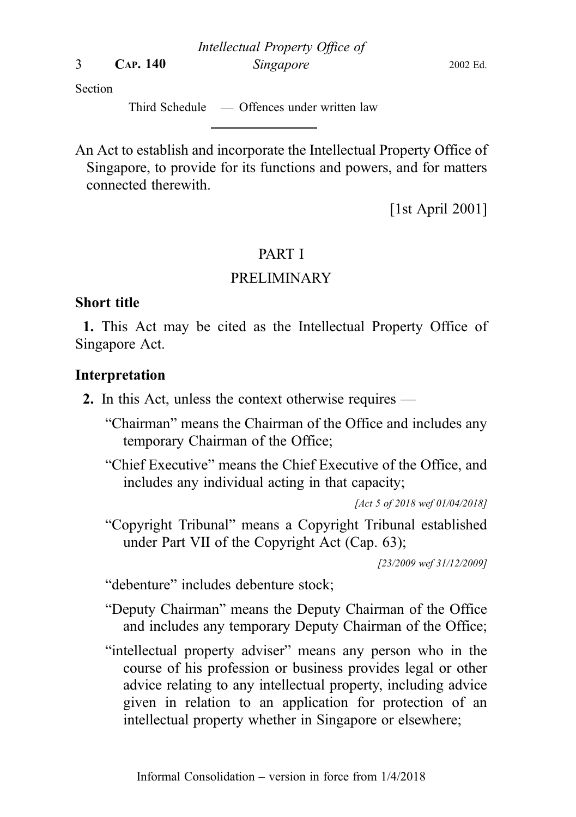Intellectual Property Office of 3 CAP. 140 Singapore 2002 Ed.

Section

Third Schedule — Offences under written law

An Act to establish and incorporate the Intellectual Property Office of Singapore, to provide for its functions and powers, and for matters connected therewith.

[1st April 2001]

## PART I

## PRELIMINARY

## Short title

1. This Act may be cited as the Intellectual Property Office of Singapore Act.

## Interpretation

- 2. In this Act, unless the context otherwise requires
	- "Chairman" means the Chairman of the Office and includes any temporary Chairman of the Office;
	- "Chief Executive" means the Chief Executive of the Office, and includes any individual acting in that capacity;

[Act 5 of 2018 wef 01/04/2018]

"Copyright Tribunal" means a Copyright Tribunal established under Part VII of the Copyright Act (Cap. 63);

[23/2009 wef 31/12/2009]

"debenture" includes debenture stock;

- "Deputy Chairman" means the Deputy Chairman of the Office and includes any temporary Deputy Chairman of the Office;
- "intellectual property adviser" means any person who in the course of his profession or business provides legal or other advice relating to any intellectual property, including advice given in relation to an application for protection of an intellectual property whether in Singapore or elsewhere;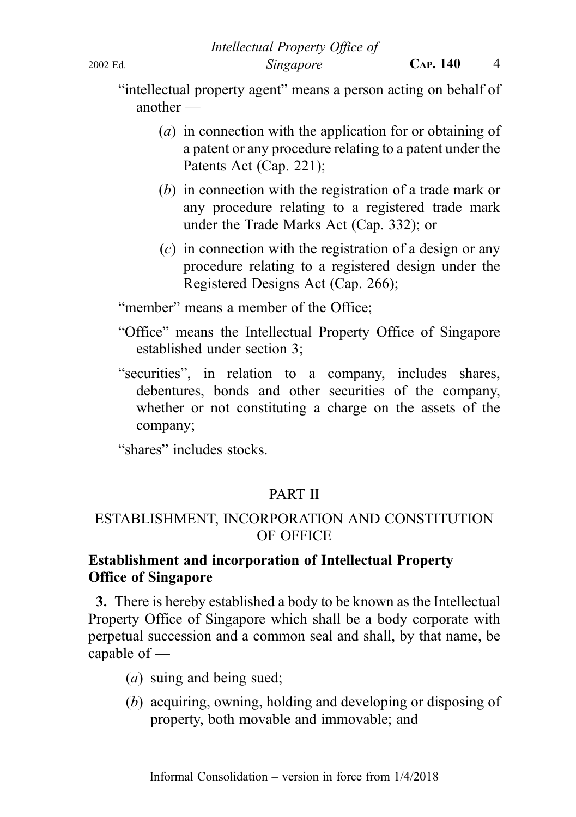"intellectual property agent" means a person acting on behalf of another —

- (a) in connection with the application for or obtaining of a patent or any procedure relating to a patent under the Patents Act (Cap. 221);
- (b) in connection with the registration of a trade mark or any procedure relating to a registered trade mark under the Trade Marks Act (Cap. 332); or
- $(c)$  in connection with the registration of a design or any procedure relating to a registered design under the Registered Designs Act (Cap. 266);

"member" means a member of the Office:

- "Office" means the Intellectual Property Office of Singapore established under section 3;
- "securities", in relation to a company, includes shares, debentures, bonds and other securities of the company, whether or not constituting a charge on the assets of the company;

"shares" includes stocks.

## PART II

## ESTABLISHMENT, INCORPORATION AND CONSTITUTION OF OFFICE

## Establishment and incorporation of Intellectual Property Office of Singapore

3. There is hereby established a body to be known as the Intellectual Property Office of Singapore which shall be a body corporate with perpetual succession and a common seal and shall, by that name, be capable of —

- (*a*) suing and being sued;
- (b) acquiring, owning, holding and developing or disposing of property, both movable and immovable; and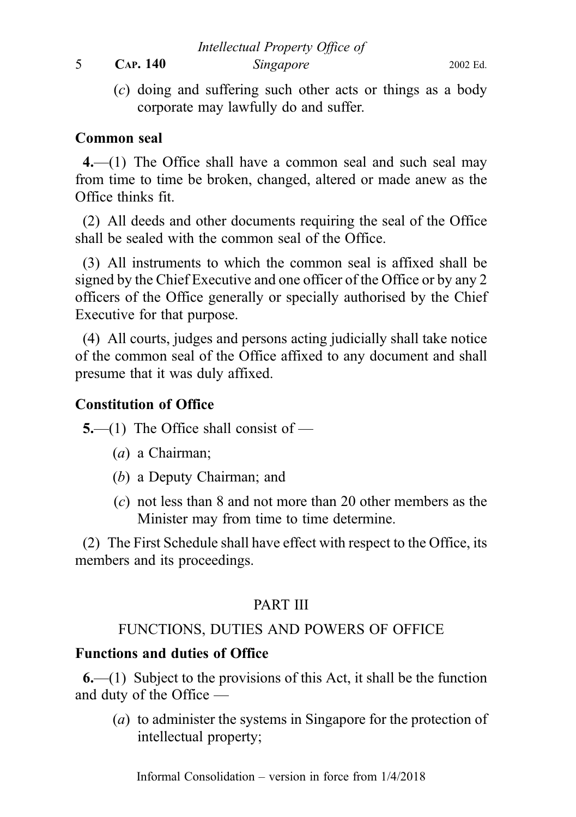5 CAP. 140 Singapore 2002 Ed.

Intellectual Property Office of

(c) doing and suffering such other acts or things as a body corporate may lawfully do and suffer.

## Common seal

4.—(1) The Office shall have a common seal and such seal may from time to time be broken, changed, altered or made anew as the Office thinks fit.

(2) All deeds and other documents requiring the seal of the Office shall be sealed with the common seal of the Office.

(3) All instruments to which the common seal is affixed shall be signed by the Chief Executive and one officer of the Office or by any 2 officers of the Office generally or specially authorised by the Chief Executive for that purpose.

(4) All courts, judges and persons acting judicially shall take notice of the common seal of the Office affixed to any document and shall presume that it was duly affixed.

## Constitution of Office

5.—(1) The Office shall consist of —

- (a) a Chairman;
- (b) a Deputy Chairman; and
- (c) not less than 8 and not more than 20 other members as the Minister may from time to time determine.

(2) The First Schedule shall have effect with respect to the Office, its members and its proceedings.

## PART III

## FUNCTIONS, DUTIES AND POWERS OF OFFICE

## Functions and duties of Office

 $6-(1)$  Subject to the provisions of this Act, it shall be the function and duty of the Office —

(a) to administer the systems in Singapore for the protection of intellectual property;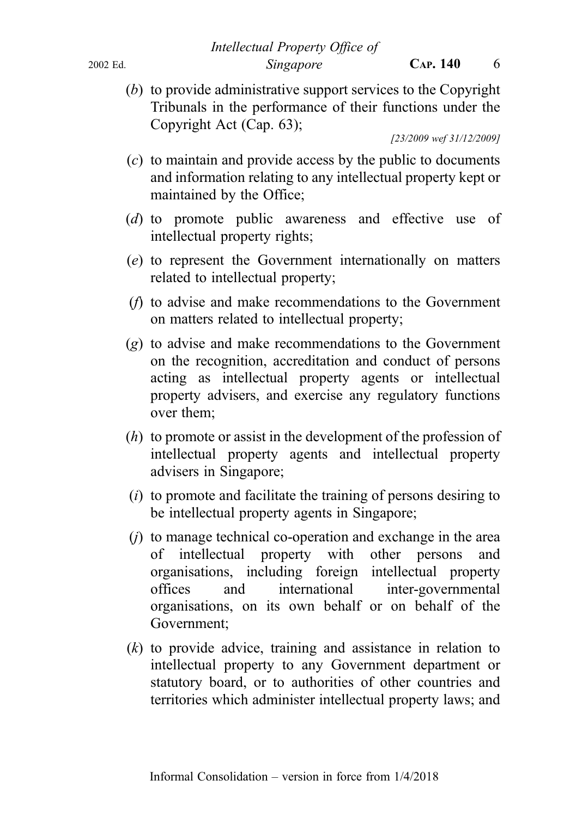(b) to provide administrative support services to the Copyright Tribunals in the performance of their functions under the Copyright Act (Cap. 63);

[23/2009 wef 31/12/2009]

- (c) to maintain and provide access by the public to documents and information relating to any intellectual property kept or maintained by the Office;
- (d) to promote public awareness and effective use of intellectual property rights;
- (e) to represent the Government internationally on matters related to intellectual property;
- (f) to advise and make recommendations to the Government on matters related to intellectual property;
- (g) to advise and make recommendations to the Government on the recognition, accreditation and conduct of persons acting as intellectual property agents or intellectual property advisers, and exercise any regulatory functions over them;
- (h) to promote or assist in the development of the profession of intellectual property agents and intellectual property advisers in Singapore;
- (i) to promote and facilitate the training of persons desiring to be intellectual property agents in Singapore;
- $(j)$  to manage technical co-operation and exchange in the area of intellectual property with other persons and organisations, including foreign intellectual property offices and international inter-governmental organisations, on its own behalf or on behalf of the Government;
- $(k)$  to provide advice, training and assistance in relation to intellectual property to any Government department or statutory board, or to authorities of other countries and territories which administer intellectual property laws; and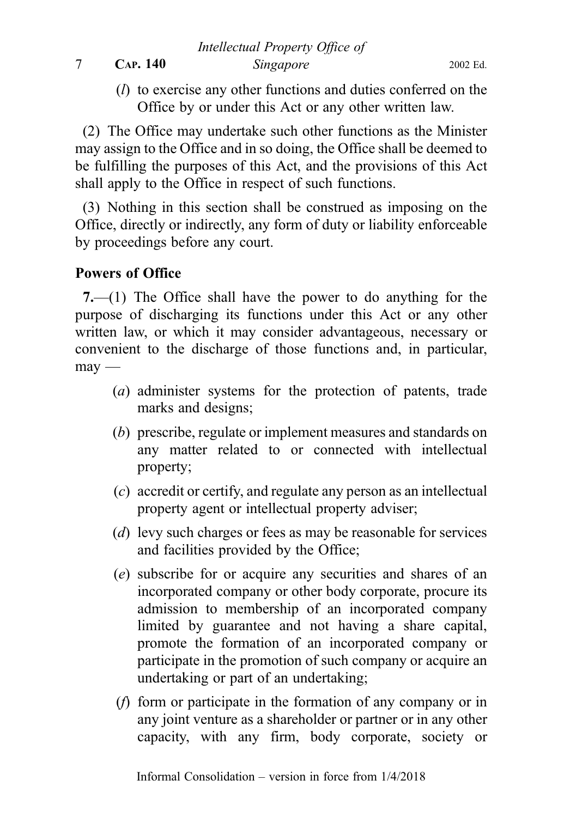7 CAP. 140 Singapore 2002 Ed.

Intellectual Property Office of

(l) to exercise any other functions and duties conferred on the Office by or under this Act or any other written law.

(2) The Office may undertake such other functions as the Minister may assign to the Office and in so doing, the Office shall be deemed to be fulfilling the purposes of this Act, and the provisions of this Act shall apply to the Office in respect of such functions.

(3) Nothing in this section shall be construed as imposing on the Office, directly or indirectly, any form of duty or liability enforceable by proceedings before any court.

## Powers of Office

7.—(1) The Office shall have the power to do anything for the purpose of discharging its functions under this Act or any other written law, or which it may consider advantageous, necessary or convenient to the discharge of those functions and, in particular,  $m$ av —

- (a) administer systems for the protection of patents, trade marks and designs;
- (b) prescribe, regulate or implement measures and standards on any matter related to or connected with intellectual property;
- (c) accredit or certify, and regulate any person as an intellectual property agent or intellectual property adviser;
- (*d*) levy such charges or fees as may be reasonable for services and facilities provided by the Office;
- (e) subscribe for or acquire any securities and shares of an incorporated company or other body corporate, procure its admission to membership of an incorporated company limited by guarantee and not having a share capital, promote the formation of an incorporated company or participate in the promotion of such company or acquire an undertaking or part of an undertaking;
- (f) form or participate in the formation of any company or in any joint venture as a shareholder or partner or in any other capacity, with any firm, body corporate, society or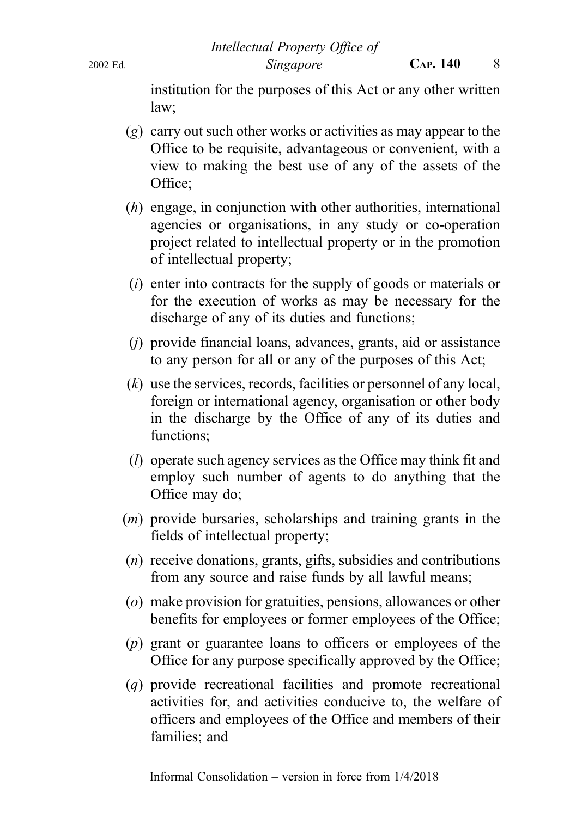institution for the purposes of this Act or any other written law;

- (g) carry out such other works or activities as may appear to the Office to be requisite, advantageous or convenient, with a view to making the best use of any of the assets of the Office;
- (h) engage, in conjunction with other authorities, international agencies or organisations, in any study or co-operation project related to intellectual property or in the promotion of intellectual property;
- (i) enter into contracts for the supply of goods or materials or for the execution of works as may be necessary for the discharge of any of its duties and functions;
- (j) provide financial loans, advances, grants, aid or assistance to any person for all or any of the purposes of this Act;
- $(k)$  use the services, records, facilities or personnel of any local, foreign or international agency, organisation or other body in the discharge by the Office of any of its duties and functions;
- (l) operate such agency services as the Office may think fit and employ such number of agents to do anything that the Office may do;
- (m) provide bursaries, scholarships and training grants in the fields of intellectual property;
- (n) receive donations, grants, gifts, subsidies and contributions from any source and raise funds by all lawful means;
- (o) make provision for gratuities, pensions, allowances or other benefits for employees or former employees of the Office;
- (p) grant or guarantee loans to officers or employees of the Office for any purpose specifically approved by the Office;
- (q) provide recreational facilities and promote recreational activities for, and activities conducive to, the welfare of officers and employees of the Office and members of their families; and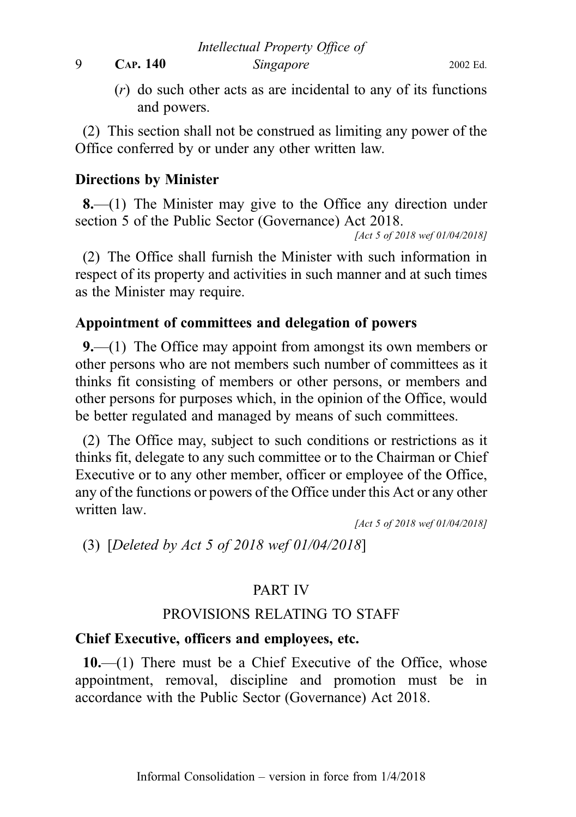9 CAP. 140 Singapore 2002 Ed.

(r) do such other acts as are incidental to any of its functions and powers.

(2) This section shall not be construed as limiting any power of the Office conferred by or under any other written law.

## Directions by Minister

8.—(1) The Minister may give to the Office any direction under section 5 of the Public Sector (Governance) Act 2018.

[Act 5 of 2018 wef 01/04/2018]

(2) The Office shall furnish the Minister with such information in respect of its property and activities in such manner and at such times as the Minister may require.

## Appointment of committees and delegation of powers

9.—(1) The Office may appoint from amongst its own members or other persons who are not members such number of committees as it thinks fit consisting of members or other persons, or members and other persons for purposes which, in the opinion of the Office, would be better regulated and managed by means of such committees.

(2) The Office may, subject to such conditions or restrictions as it thinks fit, delegate to any such committee or to the Chairman or Chief Executive or to any other member, officer or employee of the Office, any of the functions or powers of the Office under this Act or any other written law.

[Act 5 of 2018 wef 01/04/2018]

(3) [Deleted by Act 5 of 2018 wef 01/04/2018]

## PART IV

## PROVISIONS RELATING TO STAFF

## Chief Executive, officers and employees, etc.

 $10$ .—(1) There must be a Chief Executive of the Office, whose appointment, removal, discipline and promotion must be in accordance with the Public Sector (Governance) Act 2018.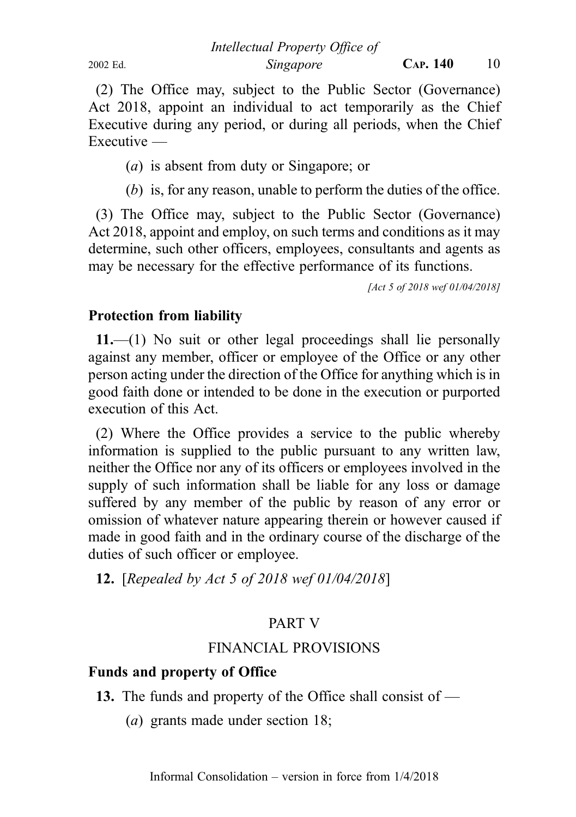Intellectual Property Office of 2002 Ed. Singapore CAP. 140 10

(2) The Office may, subject to the Public Sector (Governance) Act 2018, appoint an individual to act temporarily as the Chief Executive during any period, or during all periods, when the Chief Executive —

(a) is absent from duty or Singapore; or

(b) is, for any reason, unable to perform the duties of the office.

(3) The Office may, subject to the Public Sector (Governance) Act 2018, appoint and employ, on such terms and conditions as it may determine, such other officers, employees, consultants and agents as may be necessary for the effective performance of its functions.

[Act 5 of 2018 wef 01/04/2018]

#### Protection from liability

11.—(1) No suit or other legal proceedings shall lie personally against any member, officer or employee of the Office or any other person acting under the direction of the Office for anything which is in good faith done or intended to be done in the execution or purported execution of this Act.

(2) Where the Office provides a service to the public whereby information is supplied to the public pursuant to any written law, neither the Office nor any of its officers or employees involved in the supply of such information shall be liable for any loss or damage suffered by any member of the public by reason of any error or omission of whatever nature appearing therein or however caused if made in good faith and in the ordinary course of the discharge of the duties of such officer or employee.

12. [Repealed by Act 5 of 2018 wef 01/04/2018]

#### PART V

## FINANCIAL PROVISIONS

## Funds and property of Office

- 13. The funds and property of the Office shall consist of
	- (a) grants made under section 18;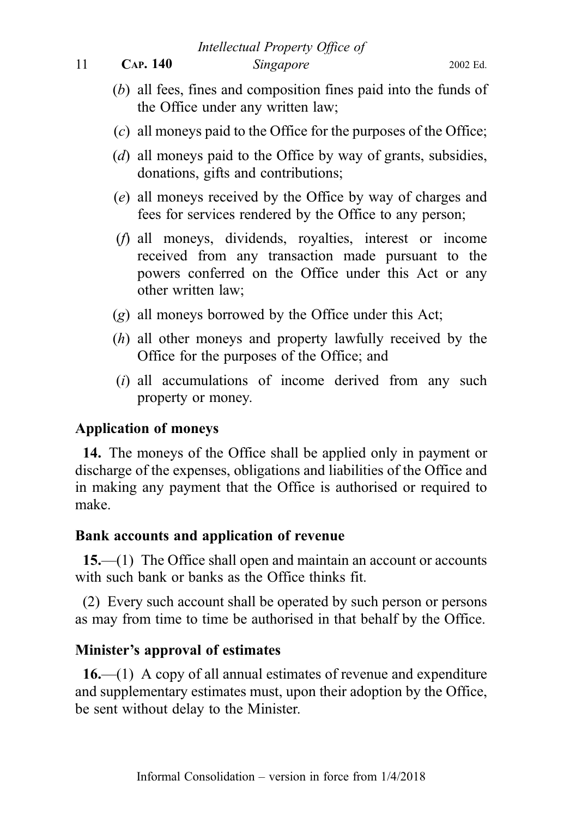Intellectual Property Office of

11 **CAP. 140** Singapore 2002 Ed.

- (b) all fees, fines and composition fines paid into the funds of the Office under any written law;
- (c) all moneys paid to the Office for the purposes of the Office;
- (d) all moneys paid to the Office by way of grants, subsidies, donations, gifts and contributions;
- (e) all moneys received by the Office by way of charges and fees for services rendered by the Office to any person;
- (f) all moneys, dividends, royalties, interest or income received from any transaction made pursuant to the powers conferred on the Office under this Act or any other written law;
- (g) all moneys borrowed by the Office under this Act;
- (h) all other moneys and property lawfully received by the Office for the purposes of the Office; and
- $(i)$  all accumulations of income derived from any such property or money.

## Application of moneys

14. The moneys of the Office shall be applied only in payment or discharge of the expenses, obligations and liabilities of the Office and in making any payment that the Office is authorised or required to make.

## Bank accounts and application of revenue

15.—(1) The Office shall open and maintain an account or accounts with such bank or banks as the Office thinks fit.

(2) Every such account shall be operated by such person or persons as may from time to time be authorised in that behalf by the Office.

## Minister's approval of estimates

16.—(1) A copy of all annual estimates of revenue and expenditure and supplementary estimates must, upon their adoption by the Office, be sent without delay to the Minister.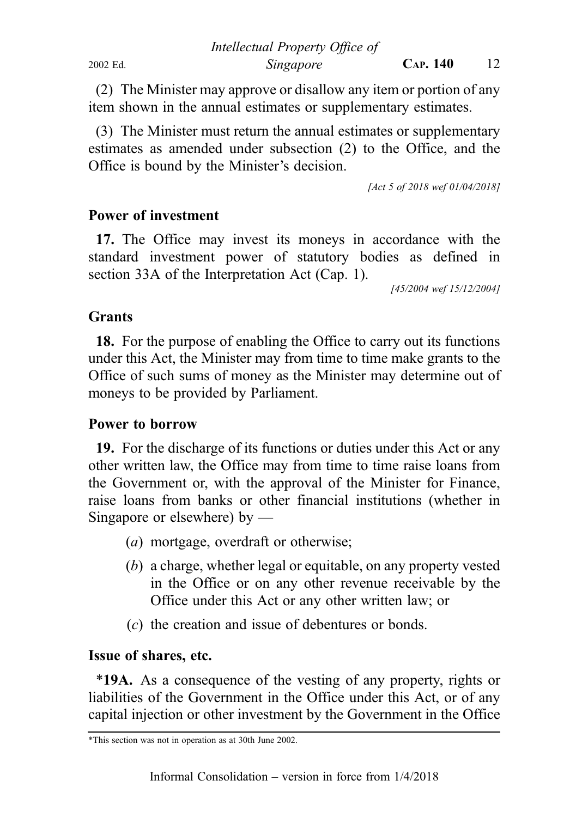(2) The Minister may approve or disallow any item or portion of any item shown in the annual estimates or supplementary estimates.

(3) The Minister must return the annual estimates or supplementary estimates as amended under subsection (2) to the Office, and the Office is bound by the Minister's decision.

[Act 5 of 2018 wef 01/04/2018]

#### Power of investment

17. The Office may invest its moneys in accordance with the standard investment power of statutory bodies as defined in section 33A of the Interpretation Act (Cap. 1).

[45/2004 wef 15/12/2004]

#### **Grants**

18. For the purpose of enabling the Office to carry out its functions under this Act, the Minister may from time to time make grants to the Office of such sums of money as the Minister may determine out of moneys to be provided by Parliament.

#### Power to borrow

19. For the discharge of its functions or duties under this Act or any other written law, the Office may from time to time raise loans from the Government or, with the approval of the Minister for Finance, raise loans from banks or other financial institutions (whether in Singapore or elsewhere) by —

- (a) mortgage, overdraft or otherwise;
- (b) a charge, whether legal or equitable, on any property vested in the Office or on any other revenue receivable by the Office under this Act or any other written law; or
- (c) the creation and issue of debentures or bonds.

#### Issue of shares, etc.

\*19A. As a consequence of the vesting of any property, rights or liabilities of the Government in the Office under this Act, or of any capital injection or other investment by the Government in the Office

<sup>\*</sup>This section was not in operation as at 30th June 2002.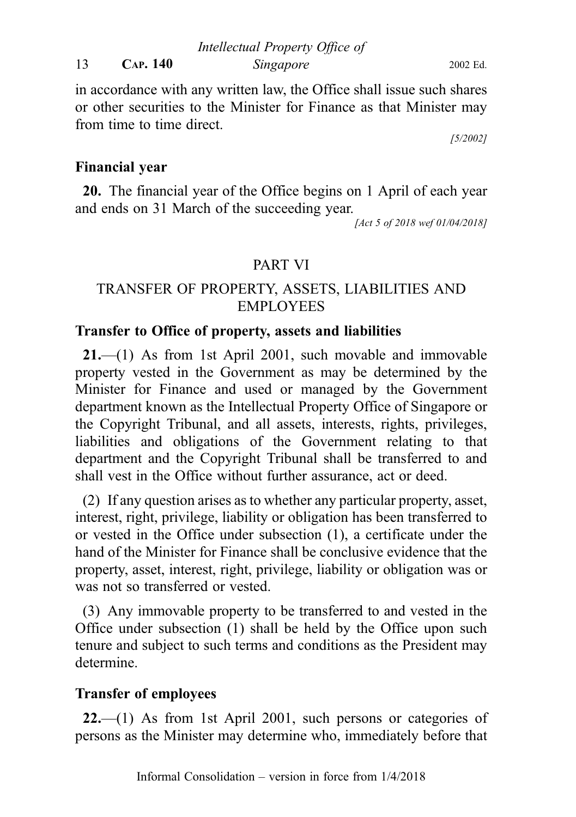in accordance with any written law, the Office shall issue such shares or other securities to the Minister for Finance as that Minister may from time to time direct.

[5/2002]

## Financial year

20. The financial year of the Office begins on 1 April of each year and ends on 31 March of the succeeding year.

[Act 5 of 2018 wef 01/04/2018]

## PART VI

## TRANSFER OF PROPERTY, ASSETS, LIABILITIES AND EMPLOYEES

## Transfer to Office of property, assets and liabilities

21.—(1) As from 1st April 2001, such movable and immovable property vested in the Government as may be determined by the Minister for Finance and used or managed by the Government department known as the Intellectual Property Office of Singapore or the Copyright Tribunal, and all assets, interests, rights, privileges, liabilities and obligations of the Government relating to that department and the Copyright Tribunal shall be transferred to and shall vest in the Office without further assurance, act or deed.

(2) If any question arises as to whether any particular property, asset, interest, right, privilege, liability or obligation has been transferred to or vested in the Office under subsection (1), a certificate under the hand of the Minister for Finance shall be conclusive evidence that the property, asset, interest, right, privilege, liability or obligation was or was not so transferred or vested.

(3) Any immovable property to be transferred to and vested in the Office under subsection (1) shall be held by the Office upon such tenure and subject to such terms and conditions as the President may determine.

## Transfer of employees

22.—(1) As from 1st April 2001, such persons or categories of persons as the Minister may determine who, immediately before that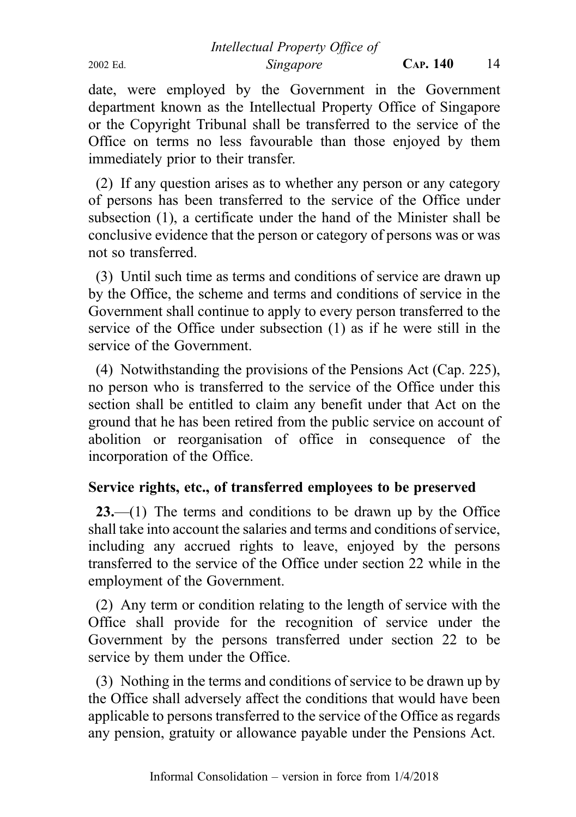Intellectual Property Office of 2002 Ed. Singapore CAP. 140 14

date, were employed by the Government in the Government department known as the Intellectual Property Office of Singapore

or the Copyright Tribunal shall be transferred to the service of the Office on terms no less favourable than those enjoyed by them immediately prior to their transfer.

(2) If any question arises as to whether any person or any category of persons has been transferred to the service of the Office under subsection (1), a certificate under the hand of the Minister shall be conclusive evidence that the person or category of persons was or was not so transferred.

(3) Until such time as terms and conditions of service are drawn up by the Office, the scheme and terms and conditions of service in the Government shall continue to apply to every person transferred to the service of the Office under subsection (1) as if he were still in the service of the Government.

(4) Notwithstanding the provisions of the Pensions Act (Cap. 225), no person who is transferred to the service of the Office under this section shall be entitled to claim any benefit under that Act on the ground that he has been retired from the public service on account of abolition or reorganisation of office in consequence of the incorporation of the Office.

## Service rights, etc., of transferred employees to be preserved

23.—(1) The terms and conditions to be drawn up by the Office shall take into account the salaries and terms and conditions of service, including any accrued rights to leave, enjoyed by the persons transferred to the service of the Office under section 22 while in the employment of the Government.

(2) Any term or condition relating to the length of service with the Office shall provide for the recognition of service under the Government by the persons transferred under section 22 to be service by them under the Office.

(3) Nothing in the terms and conditions of service to be drawn up by the Office shall adversely affect the conditions that would have been applicable to persons transferred to the service of the Office as regards any pension, gratuity or allowance payable under the Pensions Act.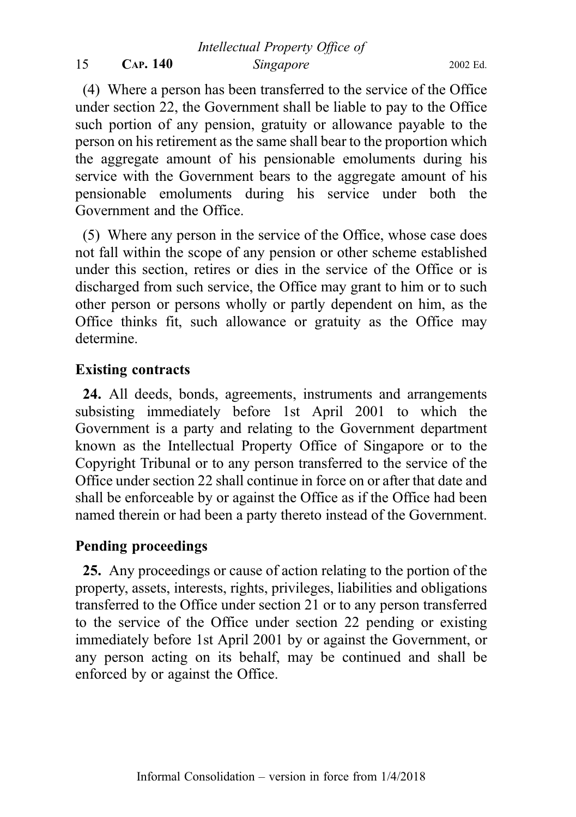## 15 CAP. 140 Singapore 2002 Ed.

(4) Where a person has been transferred to the service of the Office under section 22, the Government shall be liable to pay to the Office such portion of any pension, gratuity or allowance payable to the person on his retirement as the same shall bear to the proportion which the aggregate amount of his pensionable emoluments during his service with the Government bears to the aggregate amount of his pensionable emoluments during his service under both the Government and the Office.

(5) Where any person in the service of the Office, whose case does not fall within the scope of any pension or other scheme established under this section, retires or dies in the service of the Office or is discharged from such service, the Office may grant to him or to such other person or persons wholly or partly dependent on him, as the Office thinks fit, such allowance or gratuity as the Office may determine.

## Existing contracts

24. All deeds, bonds, agreements, instruments and arrangements subsisting immediately before 1st April 2001 to which the Government is a party and relating to the Government department known as the Intellectual Property Office of Singapore or to the Copyright Tribunal or to any person transferred to the service of the Office under section 22 shall continue in force on or after that date and shall be enforceable by or against the Office as if the Office had been named therein or had been a party thereto instead of the Government.

## Pending proceedings

25. Any proceedings or cause of action relating to the portion of the property, assets, interests, rights, privileges, liabilities and obligations transferred to the Office under section 21 or to any person transferred to the service of the Office under section 22 pending or existing immediately before 1st April 2001 by or against the Government, or any person acting on its behalf, may be continued and shall be enforced by or against the Office.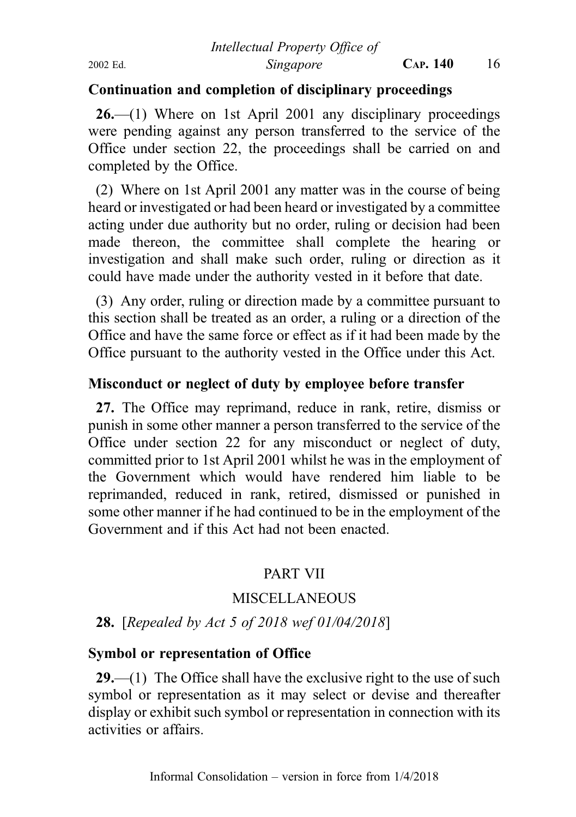## Continuation and completion of disciplinary proceedings

26.—(1) Where on 1st April 2001 any disciplinary proceedings were pending against any person transferred to the service of the Office under section 22, the proceedings shall be carried on and completed by the Office.

(2) Where on 1st April 2001 any matter was in the course of being heard or investigated or had been heard or investigated by a committee acting under due authority but no order, ruling or decision had been made thereon, the committee shall complete the hearing or investigation and shall make such order, ruling or direction as it could have made under the authority vested in it before that date.

(3) Any order, ruling or direction made by a committee pursuant to this section shall be treated as an order, a ruling or a direction of the Office and have the same force or effect as if it had been made by the Office pursuant to the authority vested in the Office under this Act.

## Misconduct or neglect of duty by employee before transfer

27. The Office may reprimand, reduce in rank, retire, dismiss or punish in some other manner a person transferred to the service of the Office under section 22 for any misconduct or neglect of duty, committed prior to 1st April 2001 whilst he was in the employment of the Government which would have rendered him liable to be reprimanded, reduced in rank, retired, dismissed or punished in some other manner if he had continued to be in the employment of the Government and if this Act had not been enacted.

## PART VII

## **MISCELLANEOUS**

## 28. [Repealed by Act 5 of 2018 wef 01/04/2018]

## Symbol or representation of Office

**29.**—(1) The Office shall have the exclusive right to the use of such symbol or representation as it may select or devise and thereafter display or exhibit such symbol or representation in connection with its activities or affairs.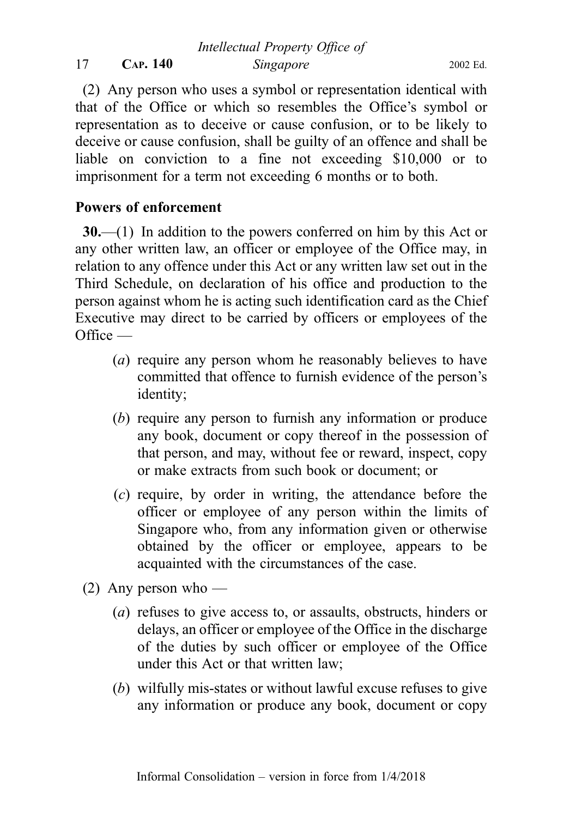(2) Any person who uses a symbol or representation identical with that of the Office or which so resembles the Office's symbol or representation as to deceive or cause confusion, or to be likely to deceive or cause confusion, shall be guilty of an offence and shall be liable on conviction to a fine not exceeding \$10,000 or to imprisonment for a term not exceeding 6 months or to both.

## Powers of enforcement

30.—(1) In addition to the powers conferred on him by this Act or any other written law, an officer or employee of the Office may, in relation to any offence under this Act or any written law set out in the Third Schedule, on declaration of his office and production to the person against whom he is acting such identification card as the Chief Executive may direct to be carried by officers or employees of the  $Office -$ 

- (a) require any person whom he reasonably believes to have committed that offence to furnish evidence of the person's identity;
- (b) require any person to furnish any information or produce any book, document or copy thereof in the possession of that person, and may, without fee or reward, inspect, copy or make extracts from such book or document; or
- (c) require, by order in writing, the attendance before the officer or employee of any person within the limits of Singapore who, from any information given or otherwise obtained by the officer or employee, appears to be acquainted with the circumstances of the case.
- (2) Any person who
	- (a) refuses to give access to, or assaults, obstructs, hinders or delays, an officer or employee of the Office in the discharge of the duties by such officer or employee of the Office under this Act or that written law;
	- (b) wilfully mis-states or without lawful excuse refuses to give any information or produce any book, document or copy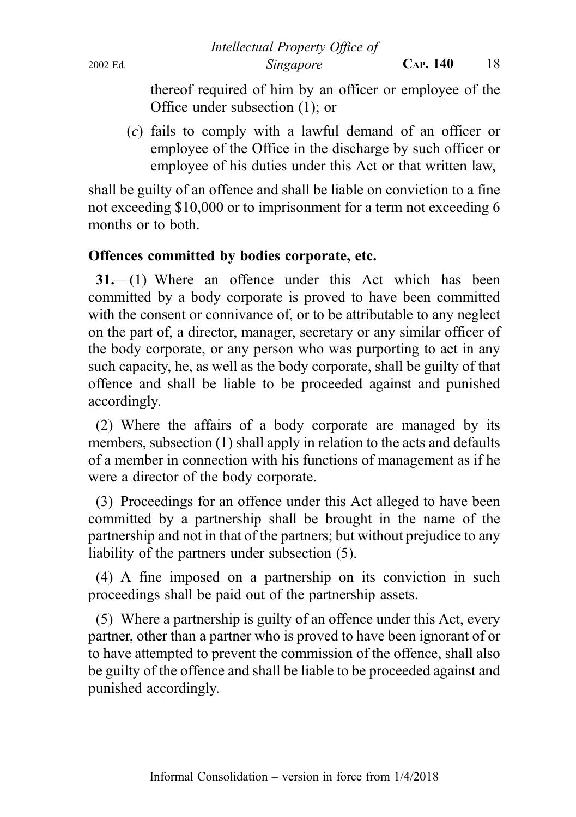thereof required of him by an officer or employee of the Office under subsection (1); or

(c) fails to comply with a lawful demand of an officer or employee of the Office in the discharge by such officer or employee of his duties under this Act or that written law,

shall be guilty of an offence and shall be liable on conviction to a fine not exceeding \$10,000 or to imprisonment for a term not exceeding 6 months or to both.

## Offences committed by bodies corporate, etc.

31.—(1) Where an offence under this Act which has been committed by a body corporate is proved to have been committed with the consent or connivance of, or to be attributable to any neglect on the part of, a director, manager, secretary or any similar officer of the body corporate, or any person who was purporting to act in any such capacity, he, as well as the body corporate, shall be guilty of that offence and shall be liable to be proceeded against and punished accordingly.

(2) Where the affairs of a body corporate are managed by its members, subsection (1) shall apply in relation to the acts and defaults of a member in connection with his functions of management as if he were a director of the body corporate.

(3) Proceedings for an offence under this Act alleged to have been committed by a partnership shall be brought in the name of the partnership and not in that of the partners; but without prejudice to any liability of the partners under subsection (5).

(4) A fine imposed on a partnership on its conviction in such proceedings shall be paid out of the partnership assets.

(5) Where a partnership is guilty of an offence under this Act, every partner, other than a partner who is proved to have been ignorant of or to have attempted to prevent the commission of the offence, shall also be guilty of the offence and shall be liable to be proceeded against and punished accordingly.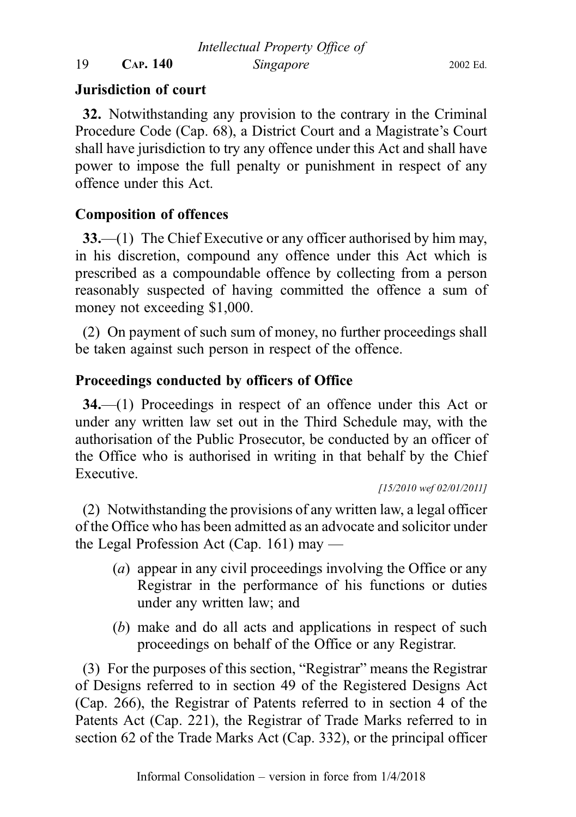Intellectual Property Office of

19 CAP. 140 Singapore 2002 Ed.

## Jurisdiction of court

32. Notwithstanding any provision to the contrary in the Criminal Procedure Code (Cap. 68), a District Court and a Magistrate's Court shall have jurisdiction to try any offence under this Act and shall have power to impose the full penalty or punishment in respect of any offence under this Act.

## Composition of offences

33.—(1) The Chief Executive or any officer authorised by him may, in his discretion, compound any offence under this Act which is prescribed as a compoundable offence by collecting from a person reasonably suspected of having committed the offence a sum of money not exceeding \$1,000.

(2) On payment of such sum of money, no further proceedings shall be taken against such person in respect of the offence.

## Proceedings conducted by officers of Office

34.—(1) Proceedings in respect of an offence under this Act or under any written law set out in the Third Schedule may, with the authorisation of the Public Prosecutor, be conducted by an officer of the Office who is authorised in writing in that behalf by the Chief Executive.

[15/2010 wef 02/01/2011]

(2) Notwithstanding the provisions of any written law, a legal officer of the Office who has been admitted as an advocate and solicitor under the Legal Profession Act (Cap. 161) may —

- (a) appear in any civil proceedings involving the Office or any Registrar in the performance of his functions or duties under any written law; and
- (b) make and do all acts and applications in respect of such proceedings on behalf of the Office or any Registrar.

(3) For the purposes of this section, "Registrar" means the Registrar of Designs referred to in section 49 of the Registered Designs Act (Cap. 266), the Registrar of Patents referred to in section 4 of the Patents Act (Cap. 221), the Registrar of Trade Marks referred to in section 62 of the Trade Marks Act (Cap. 332), or the principal officer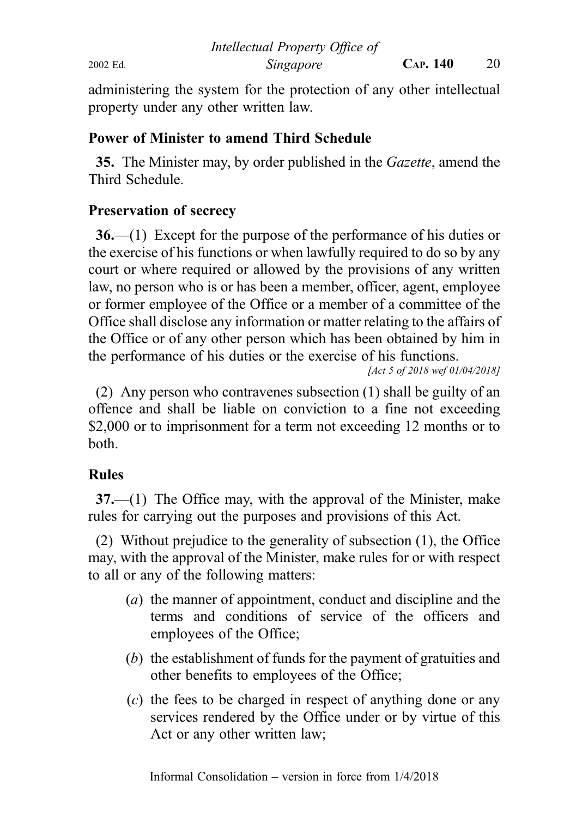administering the system for the protection of any other intellectual property under any other written law.

## Power of Minister to amend Third Schedule

35. The Minister may, by order published in the Gazette, amend the Third Schedule.

## Preservation of secrecy

36.—(1) Except for the purpose of the performance of his duties or the exercise of his functions or when lawfully required to do so by any court or where required or allowed by the provisions of any written law, no person who is or has been a member, officer, agent, employee or former employee of the Office or a member of a committee of the Office shall disclose any information or matter relating to the affairs of the Office or of any other person which has been obtained by him in the performance of his duties or the exercise of his functions.

[Act 5 of 2018 wef 01/04/2018]

(2) Any person who contravenes subsection (1) shall be guilty of an offence and shall be liable on conviction to a fine not exceeding \$2,000 or to imprisonment for a term not exceeding 12 months or to both.

## Rules

37.—(1) The Office may, with the approval of the Minister, make rules for carrying out the purposes and provisions of this Act.

(2) Without prejudice to the generality of subsection (1), the Office may, with the approval of the Minister, make rules for or with respect to all or any of the following matters:

- (a) the manner of appointment, conduct and discipline and the terms and conditions of service of the officers and employees of the Office;
- (b) the establishment of funds for the payment of gratuities and other benefits to employees of the Office;
- (c) the fees to be charged in respect of anything done or any services rendered by the Office under or by virtue of this Act or any other written law;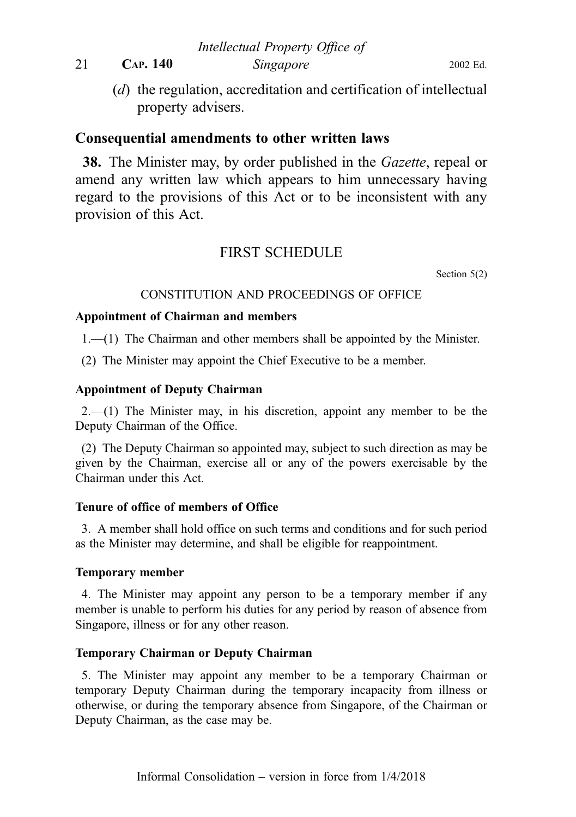(d) the regulation, accreditation and certification of intellectual property advisers.

#### Consequential amendments to other written laws

38. The Minister may, by order published in the *Gazette*, repeal or amend any written law which appears to him unnecessary having regard to the provisions of this Act or to be inconsistent with any provision of this Act.

#### FIRST SCHEDULE

Section 5(2)

#### CONSTITUTION AND PROCEEDINGS OF OFFICE

#### Appointment of Chairman and members

1.—(1) The Chairman and other members shall be appointed by the Minister.

(2) The Minister may appoint the Chief Executive to be a member.

#### Appointment of Deputy Chairman

 $2.-(1)$  The Minister may, in his discretion, appoint any member to be the Deputy Chairman of the Office.

(2) The Deputy Chairman so appointed may, subject to such direction as may be given by the Chairman, exercise all or any of the powers exercisable by the Chairman under this Act.

#### Tenure of office of members of Office

3. A member shall hold office on such terms and conditions and for such period as the Minister may determine, and shall be eligible for reappointment.

#### Temporary member

4. The Minister may appoint any person to be a temporary member if any member is unable to perform his duties for any period by reason of absence from Singapore, illness or for any other reason.

#### Temporary Chairman or Deputy Chairman

5. The Minister may appoint any member to be a temporary Chairman or temporary Deputy Chairman during the temporary incapacity from illness or otherwise, or during the temporary absence from Singapore, of the Chairman or Deputy Chairman, as the case may be.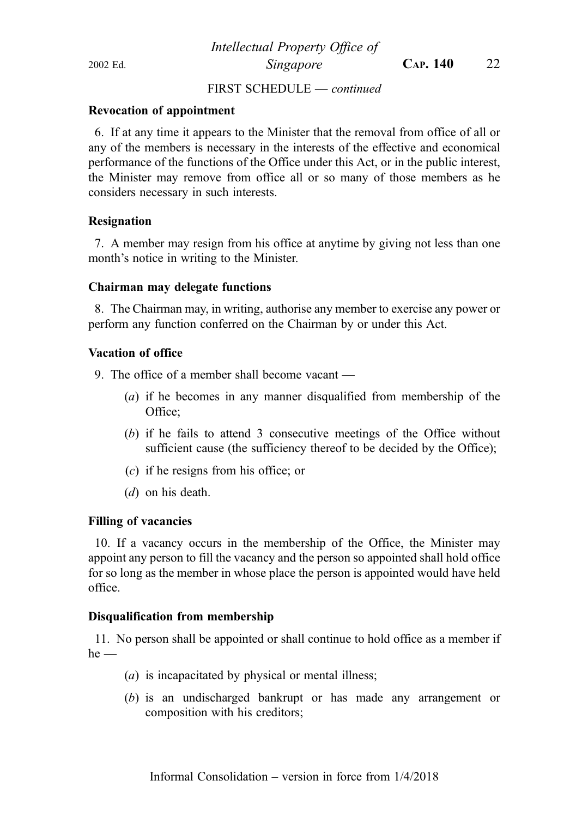#### FIRST SCHEDULE — continued

#### Revocation of appointment

6. If at any time it appears to the Minister that the removal from office of all or any of the members is necessary in the interests of the effective and economical performance of the functions of the Office under this Act, or in the public interest, the Minister may remove from office all or so many of those members as he considers necessary in such interests.

#### Resignation

7. A member may resign from his office at anytime by giving not less than one month's notice in writing to the Minister.

#### Chairman may delegate functions

8. The Chairman may, in writing, authorise any member to exercise any power or perform any function conferred on the Chairman by or under this Act.

#### Vacation of office

9. The office of a member shall become vacant —

- (a) if he becomes in any manner disqualified from membership of the Office;
- (b) if he fails to attend 3 consecutive meetings of the Office without sufficient cause (the sufficiency thereof to be decided by the Office);
- (c) if he resigns from his office; or
- (d) on his death.

#### Filling of vacancies

10. If a vacancy occurs in the membership of the Office, the Minister may appoint any person to fill the vacancy and the person so appointed shall hold office for so long as the member in whose place the person is appointed would have held office.

#### Disqualification from membership

11. No person shall be appointed or shall continue to hold office as a member if  $he$  —

- (a) is incapacitated by physical or mental illness;
- (b) is an undischarged bankrupt or has made any arrangement or composition with his creditors;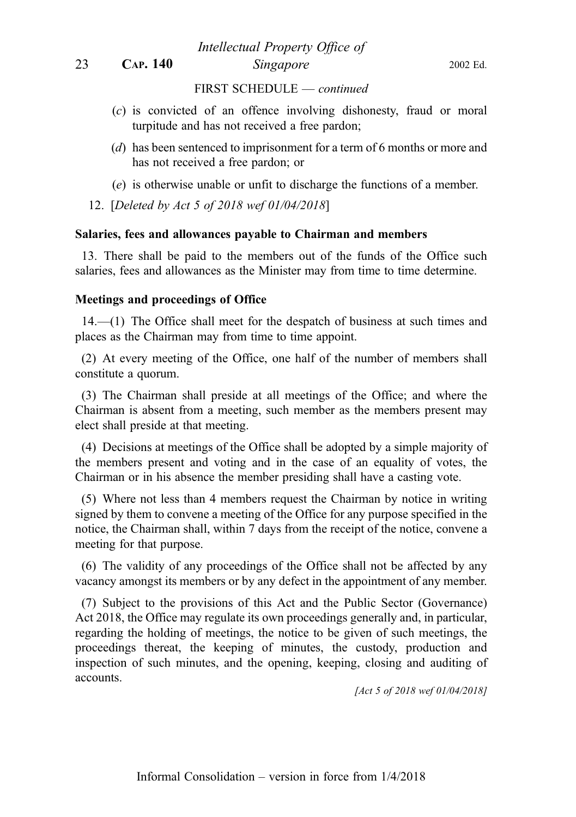23 CAP. 140 Singapore 2002 Ed.

Intellectual Property Office of

FIRST SCHEDULE — continued

- (c) is convicted of an offence involving dishonesty, fraud or moral turpitude and has not received a free pardon;
- (d) has been sentenced to imprisonment for a term of 6 months or more and has not received a free pardon; or
- (e) is otherwise unable or unfit to discharge the functions of a member.

12. [Deleted by Act 5 of 2018 wef 01/04/2018]

#### Salaries, fees and allowances payable to Chairman and members

13. There shall be paid to the members out of the funds of the Office such salaries, fees and allowances as the Minister may from time to time determine.

#### Meetings and proceedings of Office

14.—(1) The Office shall meet for the despatch of business at such times and places as the Chairman may from time to time appoint.

(2) At every meeting of the Office, one half of the number of members shall constitute a quorum.

(3) The Chairman shall preside at all meetings of the Office; and where the Chairman is absent from a meeting, such member as the members present may elect shall preside at that meeting.

(4) Decisions at meetings of the Office shall be adopted by a simple majority of the members present and voting and in the case of an equality of votes, the Chairman or in his absence the member presiding shall have a casting vote.

(5) Where not less than 4 members request the Chairman by notice in writing signed by them to convene a meeting of the Office for any purpose specified in the notice, the Chairman shall, within 7 days from the receipt of the notice, convene a meeting for that purpose.

(6) The validity of any proceedings of the Office shall not be affected by any vacancy amongst its members or by any defect in the appointment of any member.

(7) Subject to the provisions of this Act and the Public Sector (Governance) Act 2018, the Office may regulate its own proceedings generally and, in particular, regarding the holding of meetings, the notice to be given of such meetings, the proceedings thereat, the keeping of minutes, the custody, production and inspection of such minutes, and the opening, keeping, closing and auditing of accounts.

[Act 5 of 2018 wef 01/04/2018]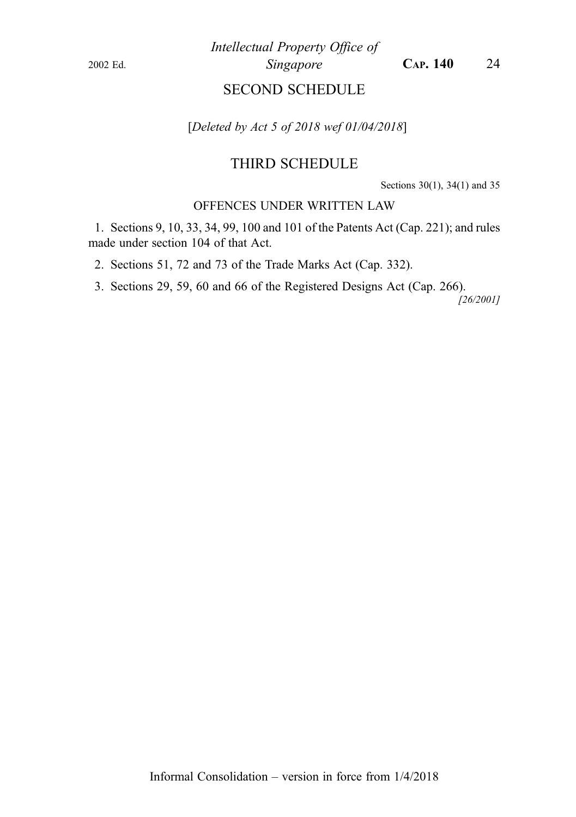Intellectual Property Office of 2002 Ed. Singapore CAP. 140 24

## SECOND SCHEDULE

[Deleted by Act 5 of 2018 wef 01/04/2018]

#### THIRD SCHEDULE

Sections 30(1), 34(1) and 35

#### OFFENCES UNDER WRITTEN LAW

1. Sections 9, 10, 33, 34, 99, 100 and 101 of the Patents Act (Cap. 221); and rules made under section 104 of that Act.

2. Sections 51, 72 and 73 of the Trade Marks Act (Cap. 332).

3. Sections 29, 59, 60 and 66 of the Registered Designs Act (Cap. 266).

[26/2001]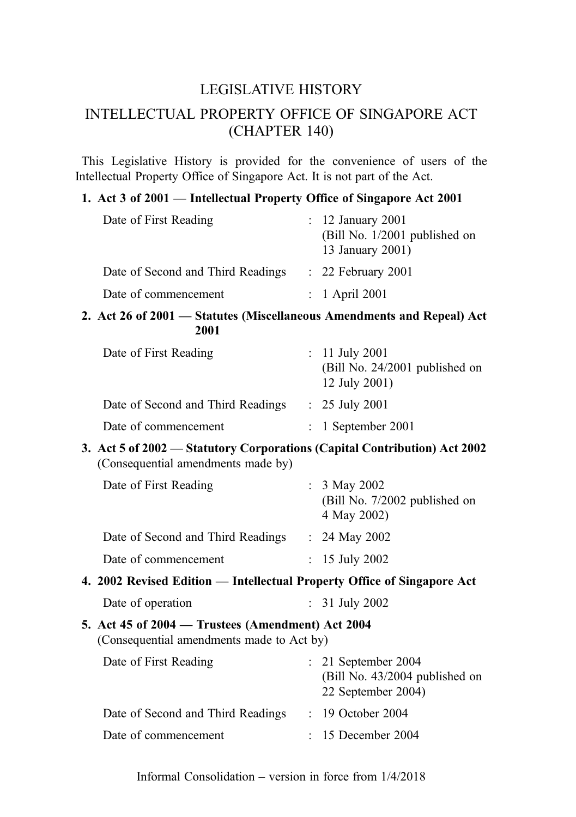## LEGISLATIVE HISTORY

## INTELLECTUAL PROPERTY OFFICE OF SINGAPORE ACT (CHAPTER 140)

This Legislative History is provided for the convenience of users of the Intellectual Property Office of Singapore Act. It is not part of the Act.

#### 1. Act 3 of 2001 — Intellectual Property Office of Singapore Act 2001

| Date of First Reading             | $\therefore$ 12 January 2001<br>(Bill No. 1/2001 published on<br>13 January 2001) |
|-----------------------------------|-----------------------------------------------------------------------------------|
| Date of Second and Third Readings | $\therefore$ 22 February 2001                                                     |
| Date of commencement              | $: 1$ April 2001                                                                  |

#### 2. Act 26 of 2001 — Statutes (Miscellaneous Amendments and Repeal) Act 2001

| Date of First Reading             | : 11 July 2001<br>(Bill No. 24/2001 published on<br>12 July 2001) |
|-----------------------------------|-------------------------------------------------------------------|
| Date of Second and Third Readings | $: 25$ July 2001                                                  |
| Date of commencement              | $: 1$ September 2001                                              |

3. Act 5 of 2002 — Statutory Corporations (Capital Contribution) Act 2002 (Consequential amendments made by)

| Date of First Reading             | : $3$ May 2002<br>(Bill No. 7/2002 published on<br>4 May 2002) |
|-----------------------------------|----------------------------------------------------------------|
| Date of Second and Third Readings | : 24 May 2002                                                  |
| Date of commencement              | : 15 July 2002                                                 |

4. 2002 Revised Edition — Intellectual Property Office of Singapore Act

| Date of operation | 31 July 2002 |
|-------------------|--------------|
|-------------------|--------------|

#### 5. Act 45 of 2004 — Trustees (Amendment) Act 2004 (Consequential amendments made to Act by)

| Date of First Reading             | $: 21$ September 2004<br>(Bill No. 43/2004 published on<br>22 September 2004) |
|-----------------------------------|-------------------------------------------------------------------------------|
| Date of Second and Third Readings | $: 19$ October 2004                                                           |
| Date of commencement              | $: 15$ December 2004                                                          |